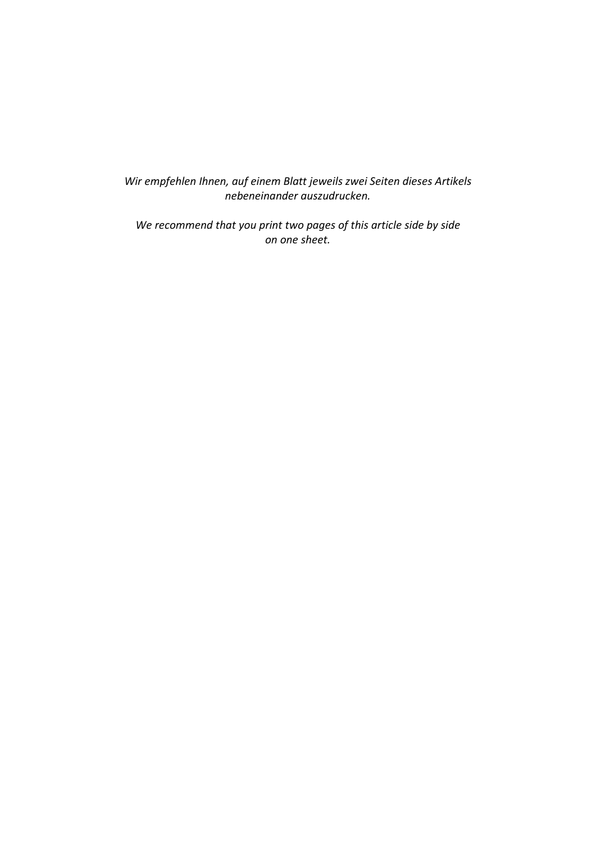*Wir empfehlen Ihnen, auf einem Blatt jeweils zwei Seiten dieses Artikels nebeneinander auszudrucken.*

*We recommend that you print two pages of this article side by side on one sheet.*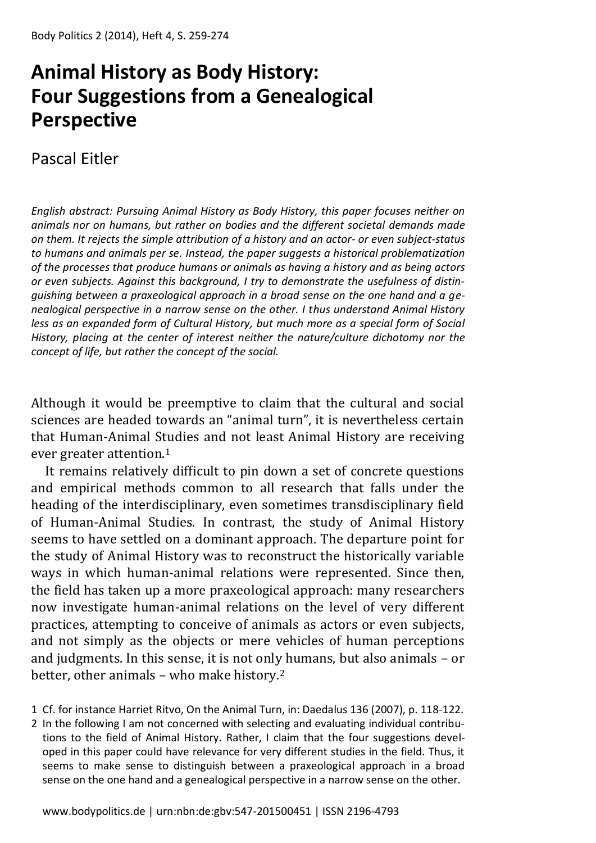# **Animal History as Body History: Four Suggestions from a Genealogical Perspective**

# Pascal Eitler

*English abstract: Pursuing Animal History as Body History, this paper focuses neither on animals nor on humans, but rather on bodies and the different societal demands made on them. It rejects the simple attribution of a history and an actor- or even subject-status to humans and animals per se. Instead, the paper suggests a historical problematization of the processes that produce humans or animals as having a history and as being actors or even subjects. Against this background, I try to demonstrate the usefulness of distinguishing between a praxeological approach in a broad sense on the one hand and a genealogical perspective in a narrow sense on the other. I thus understand Animal History less as an expanded form of Cultural History, but much more as a special form of Social History, placing at the center of interest neither the nature/culture dichotomy nor the concept of life, but rather the concept of the social.*

Although it would be preemptive to claim that the cultural and social sciences are headed towards an "animal turn", it is nevertheless certain that Human-Animal Studies and not least Animal History are receiving ever greater attention.<sup>1</sup>

It remains relatively difficult to pin down a set of concrete questions and empirical methods common to all research that falls under the heading of the interdisciplinary, even sometimes transdisciplinary field of Human-Animal Studies. In contrast, the study of Animal History seems to have settled on a dominant approach. The departure point for the study of Animal History was to reconstruct the historically variable ways in which human-animal relations were represented. Since then, the field has taken up a more praxeological approach: many researchers now investigate human-animal relations on the level of very different practices, attempting to conceive of animals as actors or even subjects, and not simply as the objects or mere vehicles of human perceptions and judgments. In this sense, it is not only humans, but also animals – or better, other animals – who make history.<sup>2</sup>

- 1 Cf. for instance Harriet Ritvo, On the Animal Turn, in: Daedalus 136 (2007), p. 118-122.
- 2 In the following I am not concerned with selecting and evaluating individual contributions to the field of Animal History. Rather, I claim that the four suggestions developed in this paper could have relevance for very different studies in the field. Thus, it seems to make sense to distinguish between a praxeological approach in a broad sense on the one hand and a genealogical perspective in a narrow sense on the other.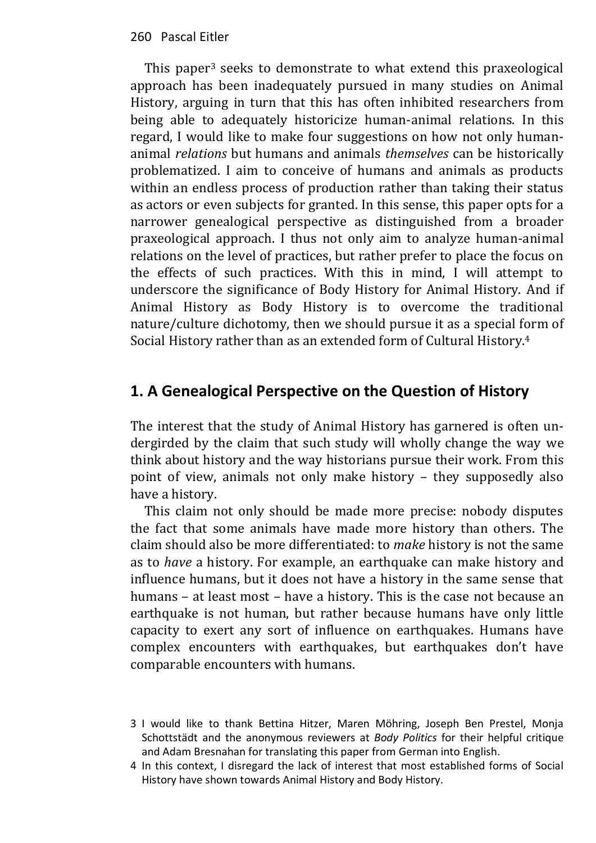This paper<sup>3</sup> seeks to demonstrate to what extend this praxeological approach has been inadequately pursued in many studies on Animal History, arguing in turn that this has often inhibited researchers from being able to adequately historicize human-animal relations. In this regard, I would like to make four suggestions on how not only humananimal *relations* but humans and animals *themselves* can be historically problematized. I aim to conceive of humans and animals as products within an endless process of production rather than taking their status as actors or even subjects for granted. In this sense, this paper opts for a narrower genealogical perspective as distinguished from a broader praxeological approach. I thus not only aim to analyze human-animal relations on the level of practices, but rather prefer to place the focus on the effects of such practices. With this in mind, I will attempt to underscore the significance of Body History for Animal History. And if Animal History as Body History is to overcome the traditional nature/culture dichotomy, then we should pursue it as a special form of Social History rather than as an extended form of Cultural History.<sup>4</sup>

# **1. A Genealogical Perspective on the Question of History**

The interest that the study of Animal History has garnered is often undergirded by the claim that such study will wholly change the way we think about history and the way historians pursue their work. From this point of view, animals not only make history – they supposedly also have a history.

This claim not only should be made more precise: nobody disputes the fact that some animals have made more history than others. The claim should also be more differentiated: to *make* history is not the same as to *have* a history. For example, an earthquake can make history and influence humans, but it does not have a history in the same sense that humans – at least most – have a history. This is the case not because an earthquake is not human, but rather because humans have only little capacity to exert any sort of influence on earthquakes. Humans have complex encounters with earthquakes, but earthquakes don't have comparable encounters with humans.

- 3 I would like to thank Bettina Hitzer, Maren Möhring, Joseph Ben Prestel, Monja Schottstädt and the anonymous reviewers at *Body Politics* for their helpful critique and Adam Bresnahan for translating this paper from German into English.
- 4 In this context, I disregard the lack of interest that most established forms of Social History have shown towards Animal History and Body History.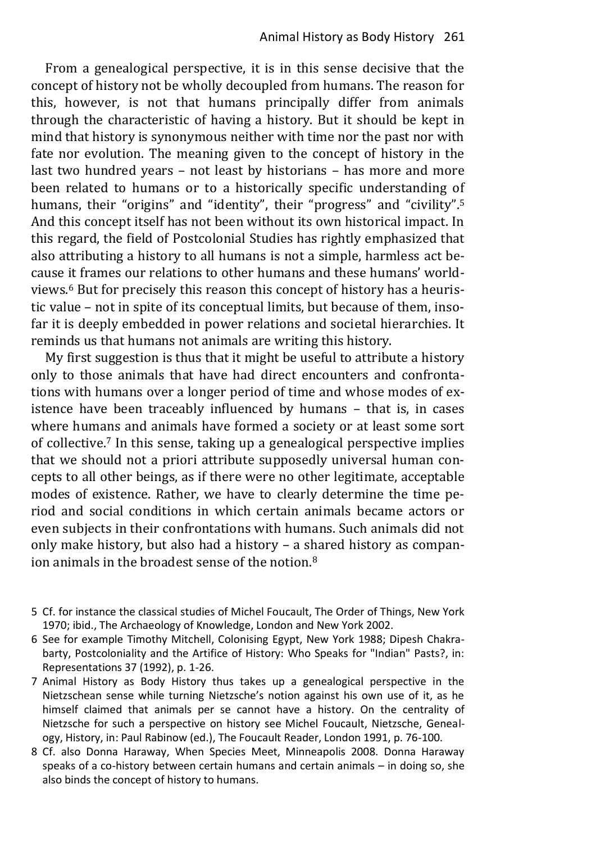From a genealogical perspective, it is in this sense decisive that the concept of history not be wholly decoupled from humans. The reason for this, however, is not that humans principally differ from animals through the characteristic of having a history. But it should be kept in mind that history is synonymous neither with time nor the past nor with fate nor evolution. The meaning given to the concept of history in the last two hundred years – not least by historians – has more and more been related to humans or to a historically specific understanding of humans, their "origins" and "identity", their "progress" and "civility".<sup>5</sup> And this concept itself has not been without its own historical impact. In this regard, the field of Postcolonial Studies has rightly emphasized that also attributing a history to all humans is not a simple, harmless act because it frames our relations to other humans and these humans' worldviews. <sup>6</sup> But for precisely this reason this concept of history has a heuristic value – not in spite of its conceptual limits, but because of them, insofar it is deeply embedded in power relations and societal hierarchies. It reminds us that humans not animals are writing this history.

My first suggestion is thus that it might be useful to attribute a history only to those animals that have had direct encounters and confrontations with humans over a longer period of time and whose modes of existence have been traceably influenced by humans – that is, in cases where humans and animals have formed a society or at least some sort of collective.7 In this sense, taking up a genealogical perspective implies that we should not a priori attribute supposedly universal human concepts to all other beings, as if there were no other legitimate, acceptable modes of existence. Rather, we have to clearly determine the time period and social conditions in which certain animals became actors or even subjects in their confrontations with humans. Such animals did not only make history, but also had a history – a shared history as companion animals in the broadest sense of the notion.<sup>8</sup>

- 5 Cf. for instance the classical studies of Michel Foucault, The Order of Things, New York 1970; ibid., The Archaeology of Knowledge, London and New York 2002.
- 6 See for example Timothy Mitchell, Colonising Egypt, New York 1988; Dipesh Chakrabarty, Postcoloniality and the Artifice of History: Who Speaks for "Indian" Pasts?, in: Representations 37 (1992), p. 1-26.
- 7 Animal History as Body History thus takes up a genealogical perspective in the Nietzschean sense while turning Nietzsche's notion against his own use of it, as he himself claimed that animals per se cannot have a history. On the centrality of Nietzsche for such a perspective on history see Michel Foucault, Nietzsche, Genealogy, History, in: Paul Rabinow (ed.), The Foucault Reader, London 1991, p. 76-100.
- 8 Cf. also Donna Haraway, When Species Meet, Minneapolis 2008. Donna Haraway speaks of a co-history between certain humans and certain animals – in doing so, she also binds the concept of history to humans.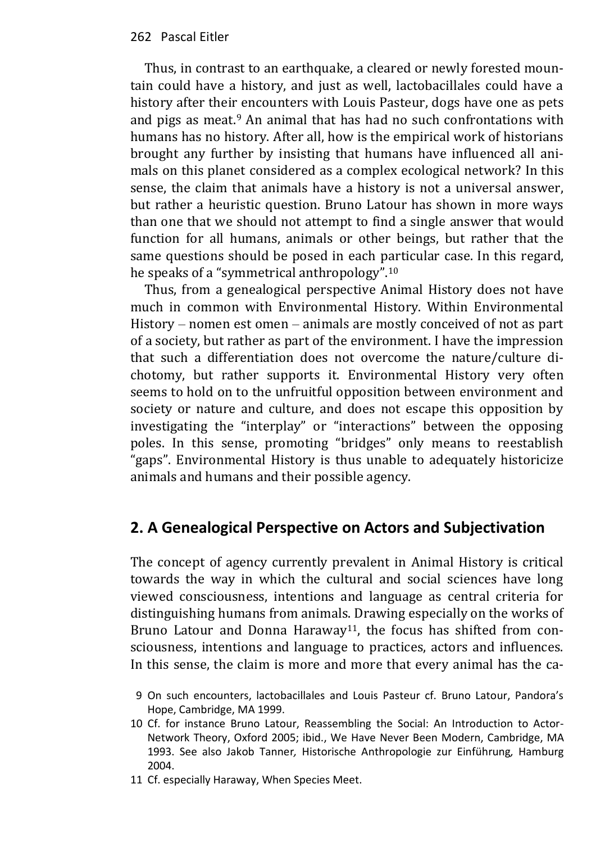Thus, in contrast to an earthquake, a cleared or newly forested mountain could have a history, and just as well, lactobacillales could have a history after their encounters with Louis Pasteur, dogs have one as pets and pigs as meat.<sup>9</sup> An animal that has had no such confrontations with humans has no history. After all, how is the empirical work of historians brought any further by insisting that humans have influenced all animals on this planet considered as a complex ecological network? In this sense, the claim that animals have a history is not a universal answer, but rather a heuristic question. Bruno Latour has shown in more ways than one that we should not attempt to find a single answer that would function for all humans, animals or other beings, but rather that the same questions should be posed in each particular case. In this regard, he speaks of a "symmetrical anthropology".<sup>10</sup>

Thus, from a genealogical perspective Animal History does not have much in common with Environmental History. Within Environmental History – nomen est omen – animals are mostly conceived of not as part of a society, but rather as part of the environment. I have the impression that such a differentiation does not overcome the nature/culture dichotomy, but rather supports it. Environmental History very often seems to hold on to the unfruitful opposition between environment and society or nature and culture, and does not escape this opposition by investigating the "interplay" or "interactions" between the opposing poles. In this sense, promoting "bridges" only means to reestablish "gaps". Environmental History is thus unable to adequately historicize animals and humans and their possible agency.

# **2. A Genealogical Perspective on Actors and Subjectivation**

The concept of agency currently prevalent in Animal History is critical towards the way in which the cultural and social sciences have long viewed consciousness, intentions and language as central criteria for distinguishing humans from animals. Drawing especially on the works of Bruno Latour and Donna Haraway<sup>11</sup>, the focus has shifted from consciousness, intentions and language to practices, actors and influences. In this sense, the claim is more and more that every animal has the ca-

- 9 On such encounters, lactobacillales and Louis Pasteur cf. Bruno Latour, Pandora's Hope, Cambridge, MA 1999.
- 10 Cf. for instance Bruno Latour, Reassembling the Social: An Introduction to Actor-Network Theory, Oxford 2005; ibid., We Have Never Been Modern, Cambridge, MA 1993. See also Jakob Tanner*,* Historische Anthropologie zur Einführung*,* Hamburg 2004.
- 11 Cf. especially Haraway, When Species Meet.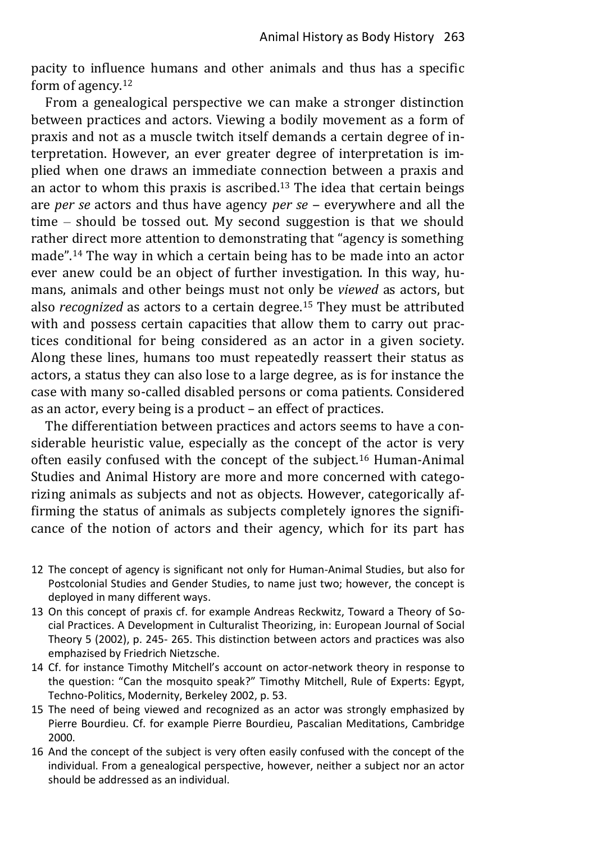pacity to influence humans and other animals and thus has a specific form of agency.<sup>12</sup>

From a genealogical perspective we can make a stronger distinction between practices and actors. Viewing a bodily movement as a form of praxis and not as a muscle twitch itself demands a certain degree of interpretation. However, an ever greater degree of interpretation is implied when one draws an immediate connection between a praxis and an actor to whom this praxis is ascribed. <sup>13</sup> The idea that certain beings are *per se* actors and thus have agency *per se* – everywhere and all the time  $-$  should be tossed out. My second suggestion is that we should rather direct more attention to demonstrating that "agency is something made".14 The way in which a certain being has to be made into an actor ever anew could be an object of further investigation. In this way, humans, animals and other beings must not only be *viewed* as actors, but also *recognized* as actors to a certain degree.15 They must be attributed with and possess certain capacities that allow them to carry out practices conditional for being considered as an actor in a given society. Along these lines, humans too must repeatedly reassert their status as actors, a status they can also lose to a large degree, as is for instance the case with many so-called disabled persons or coma patients. Considered as an actor, every being is a product – an effect of practices.

The differentiation between practices and actors seems to have a considerable heuristic value, especially as the concept of the actor is very often easily confused with the concept of the subject.16 Human-Animal Studies and Animal History are more and more concerned with categorizing animals as subjects and not as objects. However, categorically affirming the status of animals as subjects completely ignores the significance of the notion of actors and their agency, which for its part has

- 12 The concept of agency is significant not only for Human-Animal Studies, but also for Postcolonial Studies and Gender Studies, to name just two; however, the concept is deployed in many different ways.
- 13 On this concept of praxis cf. for example Andreas Reckwitz, Toward a Theory of Social Practices. A Development in Culturalist Theorizing, in: European Journal of Social Theory 5 (2002), p. 245- 265. This distinction between actors and practices was also emphazised by Friedrich Nietzsche.
- 14 Cf. for instance Timothy Mitchell's account on actor-network theory in response to the question: "Can the mosquito speak?" Timothy Mitchell, Rule of Experts: Egypt, Techno-Politics, Modernity, Berkeley 2002, p. 53.
- 15 The need of being viewed and recognized as an actor was strongly emphasized by Pierre Bourdieu. Cf. for example Pierre Bourdieu, Pascalian Meditations, Cambridge 2000.
- 16 And the concept of the subject is very often easily confused with the concept of the individual. From a genealogical perspective, however, neither a subject nor an actor should be addressed as an individual.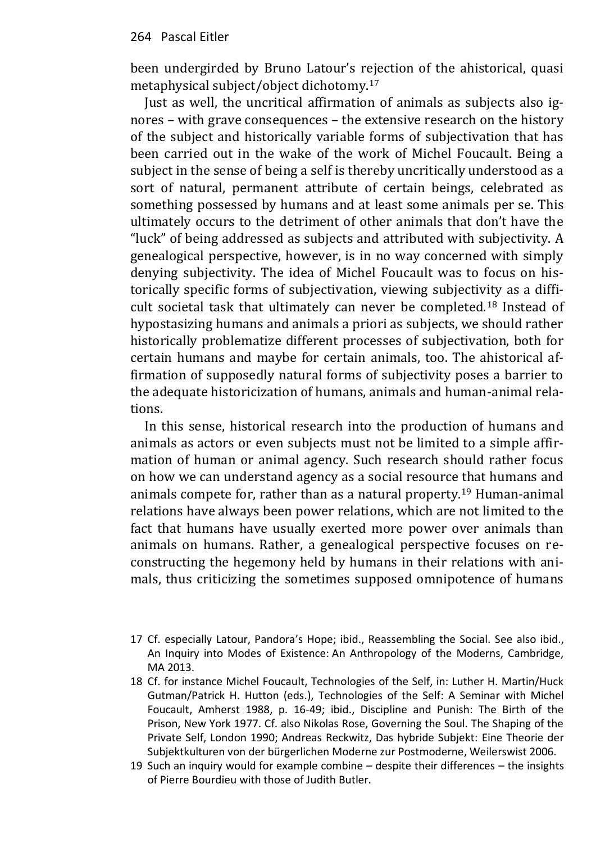been undergirded by Bruno Latour's rejection of the ahistorical, quasi metaphysical subject/object dichotomy.<sup>17</sup>

Just as well, the uncritical affirmation of animals as subjects also ignores – with grave consequences – the extensive research on the history of the subject and historically variable forms of subjectivation that has been carried out in the wake of the work of Michel Foucault. Being a subject in the sense of being a self is thereby uncritically understood as a sort of natural, permanent attribute of certain beings, celebrated as something possessed by humans and at least some animals per se. This ultimately occurs to the detriment of other animals that don't have the "luck" of being addressed as subjects and attributed with subjectivity. A genealogical perspective, however, is in no way concerned with simply denying subjectivity. The idea of Michel Foucault was to focus on historically specific forms of subjectivation, viewing subjectivity as a difficult societal task that ultimately can never be completed.18 Instead of hypostasizing humans and animals a priori as subjects, we should rather historically problematize different processes of subjectivation, both for certain humans and maybe for certain animals, too. The ahistorical affirmation of supposedly natural forms of subjectivity poses a barrier to the adequate historicization of humans, animals and human-animal relations.

In this sense, historical research into the production of humans and animals as actors or even subjects must not be limited to a simple affirmation of human or animal agency. Such research should rather focus on how we can understand agency as a social resource that humans and animals compete for, rather than as a natural property.19 Human-animal relations have always been power relations, which are not limited to the fact that humans have usually exerted more power over animals than animals on humans. Rather, a genealogical perspective focuses on reconstructing the hegemony held by humans in their relations with animals, thus criticizing the sometimes supposed omnipotence of humans

- 17 Cf. especially Latour, Pandora's Hope; ibid., Reassembling the Social. See also ibid., An Inquiry into Modes of Existence: An Anthropology of the Moderns, Cambridge, MA 2013.
- 18 Cf. for instance Michel Foucault, Technologies of the Self, in: Luther H. Martin/Huck Gutman/Patrick H. Hutton (eds.), Technologies of the Self: A Seminar with Michel Foucault, Amherst 1988, p. 16-49; ibid., Discipline and Punish: The Birth of the Prison, New York 1977. Cf. also Nikolas Rose, Governing the Soul. The Shaping of the Private Self, London 1990; Andreas Reckwitz, Das hybride Subjekt: Eine Theorie der Subjektkulturen von der bürgerlichen Moderne zur Postmoderne, Weilerswist 2006.
- 19 Such an inquiry would for example combine despite their differences the insights of Pierre Bourdieu with those of Judith Butler.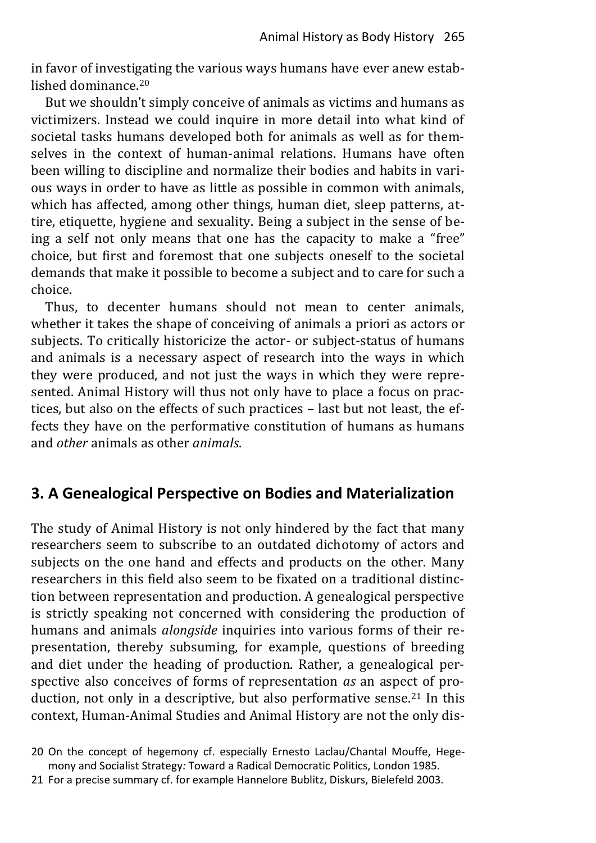in favor of investigating the various ways humans have ever anew established dominance.<sup>20</sup>

But we shouldn't simply conceive of animals as victims and humans as victimizers. Instead we could inquire in more detail into what kind of societal tasks humans developed both for animals as well as for themselves in the context of human-animal relations. Humans have often been willing to discipline and normalize their bodies and habits in various ways in order to have as little as possible in common with animals, which has affected, among other things, human diet, sleep patterns, attire, etiquette, hygiene and sexuality. Being a subject in the sense of being a self not only means that one has the capacity to make a "free" choice, but first and foremost that one subjects oneself to the societal demands that make it possible to become a subject and to care for such a choice.

Thus, to decenter humans should not mean to center animals, whether it takes the shape of conceiving of animals a priori as actors or subjects. To critically historicize the actor- or subject-status of humans and animals is a necessary aspect of research into the ways in which they were produced, and not just the ways in which they were represented. Animal History will thus not only have to place a focus on practices, but also on the effects of such practices – last but not least, the effects they have on the performative constitution of humans as humans and *other* animals as other *animals*.

## **3. A Genealogical Perspective on Bodies and Materialization**

The study of Animal History is not only hindered by the fact that many researchers seem to subscribe to an outdated dichotomy of actors and subjects on the one hand and effects and products on the other. Many researchers in this field also seem to be fixated on a traditional distinction between representation and production. A genealogical perspective is strictly speaking not concerned with considering the production of humans and animals *alongside* inquiries into various forms of their representation, thereby subsuming, for example, questions of breeding and diet under the heading of production. Rather, a genealogical perspective also conceives of forms of representation *as* an aspect of production, not only in a descriptive, but also performative sense.<sup>21</sup> In this context, Human-Animal Studies and Animal History are not the only dis-

<sup>20</sup> On the concept of hegemony cf. especially Ernesto Laclau/Chantal Mouffe, Hegemony and Socialist Strategy*:* Toward a Radical Democratic Politics, London 1985.

<sup>21</sup> For a precise summary cf. for example Hannelore Bublitz, Diskurs, Bielefeld 2003.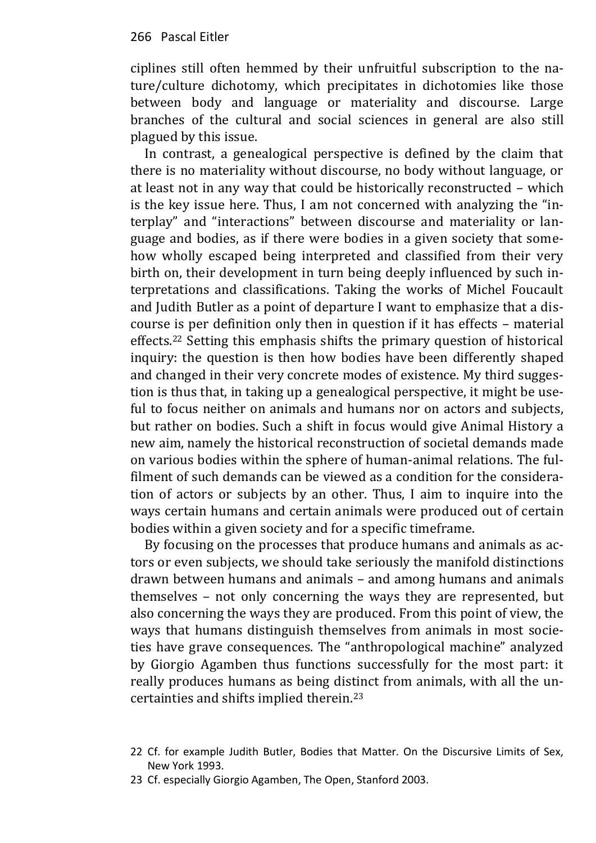ciplines still often hemmed by their unfruitful subscription to the nature/culture dichotomy, which precipitates in dichotomies like those between body and language or materiality and discourse. Large branches of the cultural and social sciences in general are also still plagued by this issue.

In contrast, a genealogical perspective is defined by the claim that there is no materiality without discourse, no body without language, or at least not in any way that could be historically reconstructed – which is the key issue here. Thus, I am not concerned with analyzing the "interplay" and "interactions" between discourse and materiality or language and bodies, as if there were bodies in a given society that somehow wholly escaped being interpreted and classified from their very birth on, their development in turn being deeply influenced by such interpretations and classifications. Taking the works of Michel Foucault and Judith Butler as a point of departure I want to emphasize that a discourse is per definition only then in question if it has effects – material effects.<sup>22</sup> Setting this emphasis shifts the primary question of historical inquiry: the question is then how bodies have been differently shaped and changed in their very concrete modes of existence. My third suggestion is thus that, in taking up a genealogical perspective, it might be useful to focus neither on animals and humans nor on actors and subjects, but rather on bodies. Such a shift in focus would give Animal History a new aim, namely the historical reconstruction of societal demands made on various bodies within the sphere of human-animal relations. The fulfilment of such demands can be viewed as a condition for the consideration of actors or subjects by an other. Thus, I aim to inquire into the ways certain humans and certain animals were produced out of certain bodies within a given society and for a specific timeframe.

By focusing on the processes that produce humans and animals as actors or even subjects, we should take seriously the manifold distinctions drawn between humans and animals – and among humans and animals themselves – not only concerning the ways they are represented, but also concerning the ways they are produced. From this point of view, the ways that humans distinguish themselves from animals in most societies have grave consequences. The "anthropological machine" analyzed by Giorgio Agamben thus functions successfully for the most part: it really produces humans as being distinct from animals, with all the uncertainties and shifts implied therein.<sup>23</sup>

<sup>22</sup> Cf. for example Judith Butler, Bodies that Matter. On the Discursive Limits of Sex, New York 1993.

<sup>23</sup> Cf. especially Giorgio Agamben, The Open, Stanford 2003.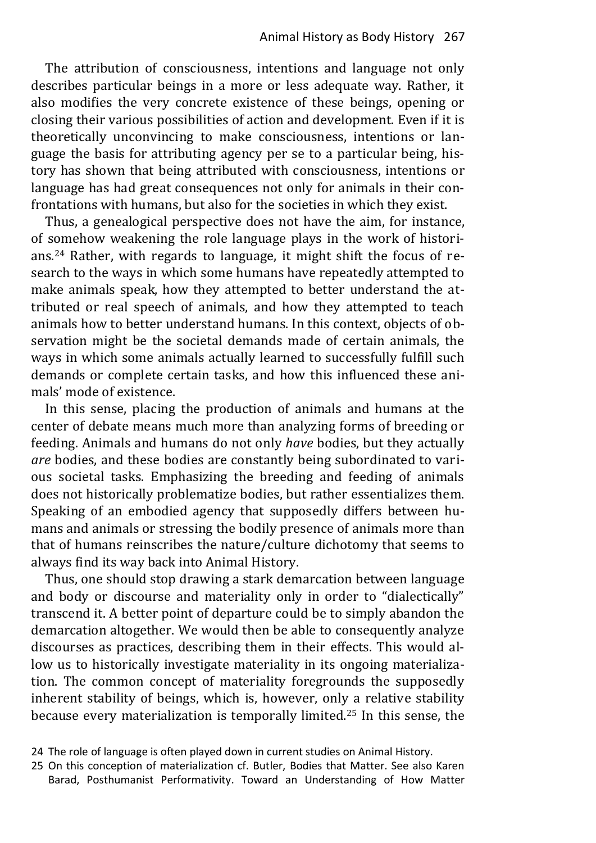The attribution of consciousness, intentions and language not only describes particular beings in a more or less adequate way. Rather, it also modifies the very concrete existence of these beings, opening or closing their various possibilities of action and development. Even if it is theoretically unconvincing to make consciousness, intentions or language the basis for attributing agency per se to a particular being, history has shown that being attributed with consciousness, intentions or language has had great consequences not only for animals in their confrontations with humans, but also for the societies in which they exist.

Thus, a genealogical perspective does not have the aim, for instance, of somehow weakening the role language plays in the work of historians.24 Rather, with regards to language, it might shift the focus of research to the ways in which some humans have repeatedly attempted to make animals speak, how they attempted to better understand the attributed or real speech of animals, and how they attempted to teach animals how to better understand humans. In this context, objects of observation might be the societal demands made of certain animals, the ways in which some animals actually learned to successfully fulfill such demands or complete certain tasks, and how this influenced these animals' mode of existence.

In this sense, placing the production of animals and humans at the center of debate means much more than analyzing forms of breeding or feeding. Animals and humans do not only *have* bodies, but they actually *are* bodies, and these bodies are constantly being subordinated to various societal tasks. Emphasizing the breeding and feeding of animals does not historically problematize bodies, but rather essentializes them. Speaking of an embodied agency that supposedly differs between humans and animals or stressing the bodily presence of animals more than that of humans reinscribes the nature/culture dichotomy that seems to always find its way back into Animal History.

Thus, one should stop drawing a stark demarcation between language and body or discourse and materiality only in order to "dialectically" transcend it. A better point of departure could be to simply abandon the demarcation altogether. We would then be able to consequently analyze discourses as practices, describing them in their effects. This would allow us to historically investigate materiality in its ongoing materialization. The common concept of materiality foregrounds the supposedly inherent stability of beings, which is, however, only a relative stability because every materialization is temporally limited.25 In this sense, the

<sup>24</sup> The role of language is often played down in current studies on Animal History.

<sup>25</sup> On this conception of materialization cf. Butler, Bodies that Matter. See also Karen Barad, Posthumanist Performativity. Toward an Understanding of How Matter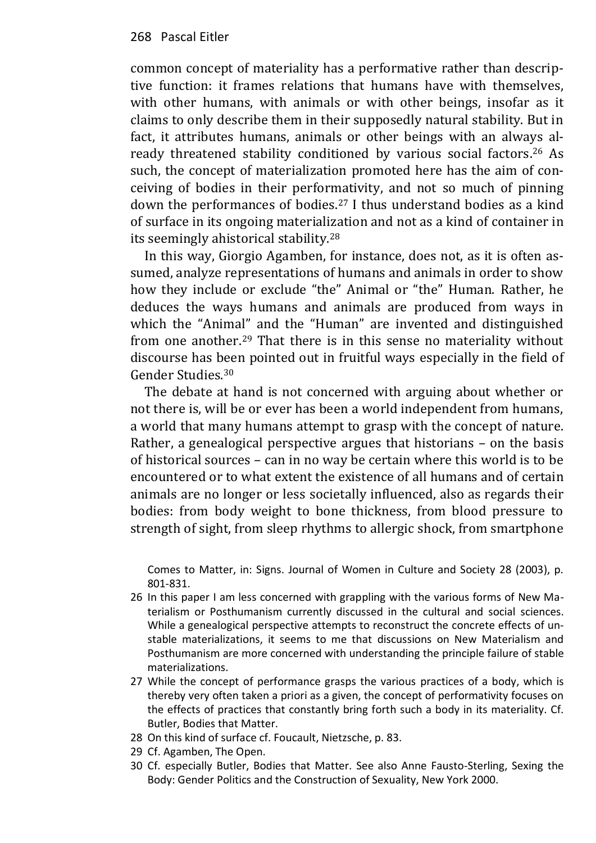common concept of materiality has a performative rather than descriptive function: it frames relations that humans have with themselves, with other humans, with animals or with other beings, insofar as it claims to only describe them in their supposedly natural stability. But in fact, it attributes humans, animals or other beings with an always already threatened stability conditioned by various social factors. <sup>26</sup> As such, the concept of materialization promoted here has the aim of conceiving of bodies in their performativity, and not so much of pinning down the performances of bodies.<sup>27</sup> I thus understand bodies as a kind of surface in its ongoing materialization and not as a kind of container in its seemingly ahistorical stability.<sup>28</sup>

In this way, Giorgio Agamben, for instance, does not, as it is often assumed, analyze representations of humans and animals in order to show how they include or exclude "the" Animal or "the" Human. Rather, he deduces the ways humans and animals are produced from ways in which the "Animal" and the "Human" are invented and distinguished from one another.29 That there is in this sense no materiality without discourse has been pointed out in fruitful ways especially in the field of Gender Studies.<sup>30</sup>

The debate at hand is not concerned with arguing about whether or not there is, will be or ever has been a world independent from humans, a world that many humans attempt to grasp with the concept of nature. Rather, a genealogical perspective argues that historians – on the basis of historical sources – can in no way be certain where this world is to be encountered or to what extent the existence of all humans and of certain animals are no longer or less societally influenced, also as regards their bodies: from body weight to bone thickness, from blood pressure to strength of sight, from sleep rhythms to allergic shock, from smartphone

Comes to Matter, in: Signs. Journal of Women in Culture and Society 28 (2003), p. 801-831.

- 26 In this paper I am less concerned with grappling with the various forms of New Materialism or Posthumanism currently discussed in the cultural and social sciences. While a genealogical perspective attempts to reconstruct the concrete effects of unstable materializations, it seems to me that discussions on New Materialism and Posthumanism are more concerned with understanding the principle failure of stable materializations.
- 27 While the concept of performance grasps the various practices of a body, which is thereby very often taken a priori as a given, the concept of performativity focuses on the effects of practices that constantly bring forth such a body in its materiality. Cf. Butler, Bodies that Matter.
- 28 On this kind of surface cf. Foucault, Nietzsche, p. 83.
- 29 Cf. Agamben, The Open.
- 30 Cf. especially Butler, Bodies that Matter. See also Anne Fausto-Sterling, Sexing the Body: Gender Politics and the Construction of Sexuality, New York 2000.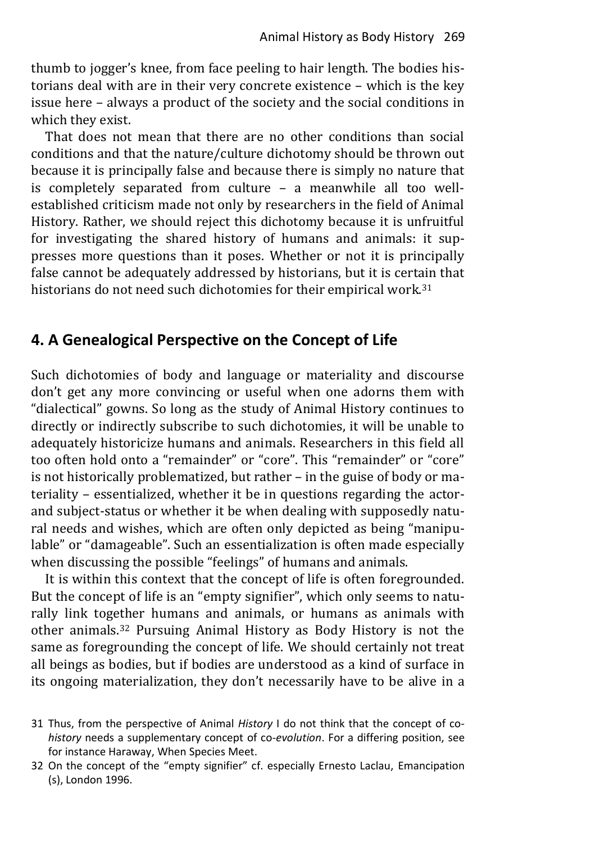thumb to jogger's knee, from face peeling to hair length. The bodies historians deal with are in their very concrete existence – which is the key issue here – always a product of the society and the social conditions in which they exist.

That does not mean that there are no other conditions than social conditions and that the nature/culture dichotomy should be thrown out because it is principally false and because there is simply no nature that is completely separated from culture – a meanwhile all too wellestablished criticism made not only by researchers in the field of Animal History. Rather, we should reject this dichotomy because it is unfruitful for investigating the shared history of humans and animals: it suppresses more questions than it poses. Whether or not it is principally false cannot be adequately addressed by historians, but it is certain that historians do not need such dichotomies for their empirical work.<sup>31</sup>

## **4. A Genealogical Perspective on the Concept of Life**

Such dichotomies of body and language or materiality and discourse don't get any more convincing or useful when one adorns them with "dialectical" gowns. So long as the study of Animal History continues to directly or indirectly subscribe to such dichotomies, it will be unable to adequately historicize humans and animals. Researchers in this field all too often hold onto a "remainder" or "core". This "remainder" or "core" is not historically problematized, but rather – in the guise of body or materiality – essentialized, whether it be in questions regarding the actorand subject-status or whether it be when dealing with supposedly natural needs and wishes, which are often only depicted as being "manipulable" or "damageable". Such an essentialization is often made especially when discussing the possible "feelings" of humans and animals.

It is within this context that the concept of life is often foregrounded. But the concept of life is an "empty signifier", which only seems to naturally link together humans and animals, or humans as animals with other animals. <sup>32</sup> Pursuing Animal History as Body History is not the same as foregrounding the concept of life. We should certainly not treat all beings as bodies, but if bodies are understood as a kind of surface in its ongoing materialization, they don't necessarily have to be alive in a

<sup>31</sup> Thus, from the perspective of Animal *History* I do not think that the concept of co*history* needs a supplementary concept of co-*evolution*. For a differing position, see for instance Haraway, When Species Meet.

<sup>32</sup> On the concept of the "empty signifier" cf. especially Ernesto Laclau, Emancipation (s), London 1996.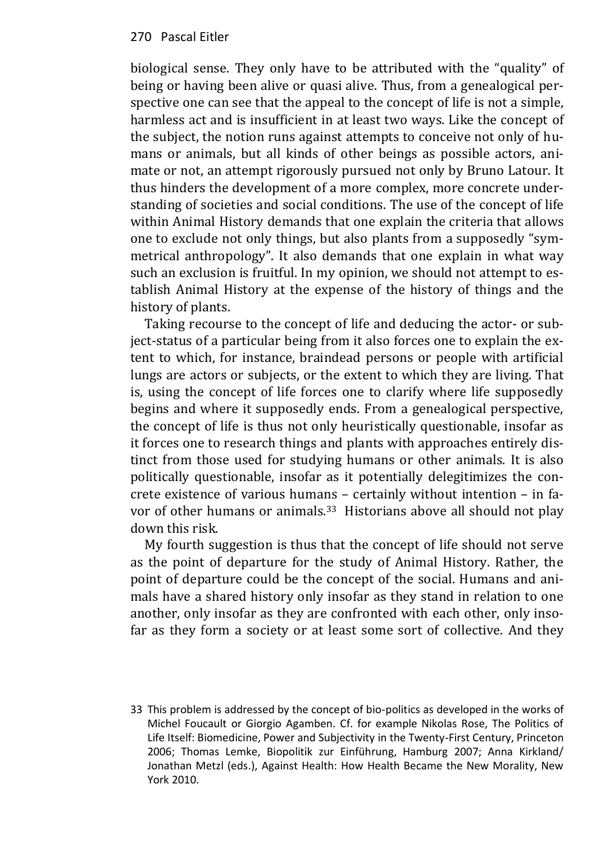#### 270 Pascal Eitler

biological sense. They only have to be attributed with the "quality" of being or having been alive or quasi alive. Thus, from a genealogical perspective one can see that the appeal to the concept of life is not a simple, harmless act and is insufficient in at least two ways. Like the concept of the subject, the notion runs against attempts to conceive not only of humans or animals, but all kinds of other beings as possible actors, animate or not, an attempt rigorously pursued not only by Bruno Latour. It thus hinders the development of a more complex, more concrete understanding of societies and social conditions. The use of the concept of life within Animal History demands that one explain the criteria that allows one to exclude not only things, but also plants from a supposedly "symmetrical anthropology". It also demands that one explain in what way such an exclusion is fruitful. In my opinion, we should not attempt to establish Animal History at the expense of the history of things and the history of plants.

Taking recourse to the concept of life and deducing the actor- or subject-status of a particular being from it also forces one to explain the extent to which, for instance, braindead persons or people with artificial lungs are actors or subjects, or the extent to which they are living. That is, using the concept of life forces one to clarify where life supposedly begins and where it supposedly ends. From a genealogical perspective, the concept of life is thus not only heuristically questionable, insofar as it forces one to research things and plants with approaches entirely distinct from those used for studying humans or other animals. It is also politically questionable, insofar as it potentially delegitimizes the concrete existence of various humans – certainly without intention – in favor of other humans or animals.<sup>33</sup> Historians above all should not play down this risk.

My fourth suggestion is thus that the concept of life should not serve as the point of departure for the study of Animal History. Rather, the point of departure could be the concept of the social. Humans and animals have a shared history only insofar as they stand in relation to one another, only insofar as they are confronted with each other, only insofar as they form a society or at least some sort of collective. And they

33 This problem is addressed by the concept of bio-politics as developed in the works of Michel Foucault or Giorgio Agamben. Cf. for example Nikolas Rose, The Politics of Life Itself: Biomedicine, Power and Subjectivity in the Twenty-First Century, Princeton 2006; Thomas Lemke, Biopolitik zur Einführung, Hamburg 2007; Anna Kirkland/ Jonathan Metzl (eds.), Against Health: How Health Became the New Morality, New York 2010.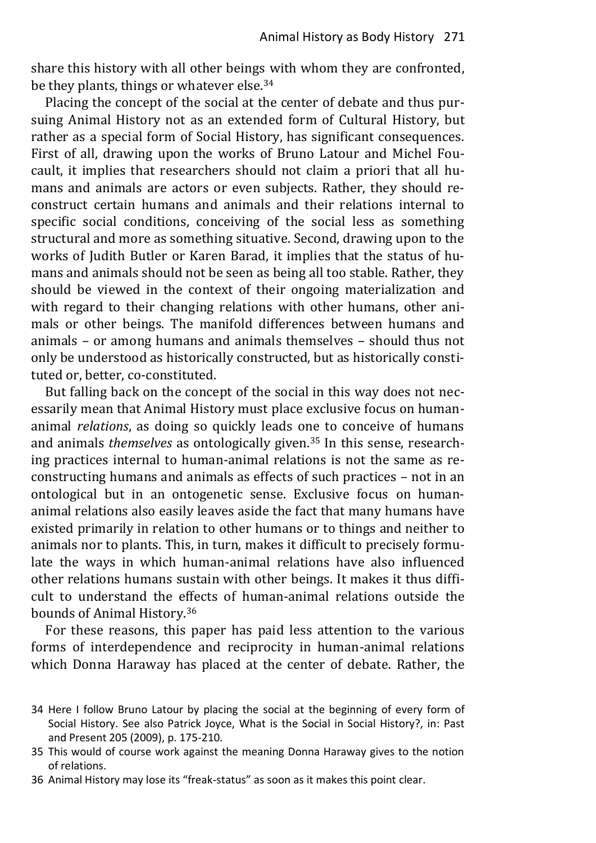share this history with all other beings with whom they are confronted, be they plants, things or whatever else.<sup>34</sup>

Placing the concept of the social at the center of debate and thus pursuing Animal History not as an extended form of Cultural History, but rather as a special form of Social History, has significant consequences. First of all, drawing upon the works of Bruno Latour and Michel Foucault, it implies that researchers should not claim a priori that all humans and animals are actors or even subjects. Rather, they should reconstruct certain humans and animals and their relations internal to specific social conditions, conceiving of the social less as something structural and more as something situative. Second, drawing upon to the works of Judith Butler or Karen Barad, it implies that the status of humans and animals should not be seen as being all too stable. Rather, they should be viewed in the context of their ongoing materialization and with regard to their changing relations with other humans, other animals or other beings. The manifold differences between humans and animals – or among humans and animals themselves – should thus not only be understood as historically constructed, but as historically constituted or, better, co-constituted.

But falling back on the concept of the social in this way does not necessarily mean that Animal History must place exclusive focus on humananimal *relations*, as doing so quickly leads one to conceive of humans and animals *themselves* as ontologically given.<sup>35</sup> In this sense, researching practices internal to human-animal relations is not the same as reconstructing humans and animals as effects of such practices – not in an ontological but in an ontogenetic sense. Exclusive focus on humananimal relations also easily leaves aside the fact that many humans have existed primarily in relation to other humans or to things and neither to animals nor to plants. This, in turn, makes it difficult to precisely formulate the ways in which human-animal relations have also influenced other relations humans sustain with other beings. It makes it thus difficult to understand the effects of human-animal relations outside the bounds of Animal History.<sup>36</sup>

For these reasons, this paper has paid less attention to the various forms of interdependence and reciprocity in human-animal relations which Donna Haraway has placed at the center of debate. Rather, the

- 34 Here I follow Bruno Latour by placing the social at the beginning of every form of Social History. See also Patrick Joyce, What is the Social in Social History?, in: Past and Present 205 (2009), p. 175-210.
- 35 This would of course work against the meaning Donna Haraway gives to the notion of relations.
- 36 Animal History may lose its "freak-status" as soon as it makes this point clear.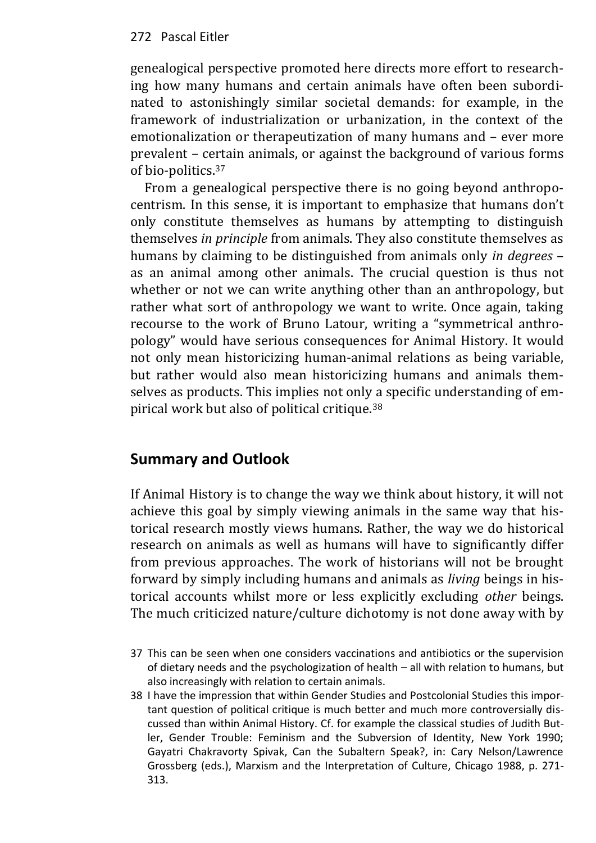#### 272 Pascal Eitler

genealogical perspective promoted here directs more effort to researching how many humans and certain animals have often been subordinated to astonishingly similar societal demands: for example, in the framework of industrialization or urbanization, in the context of the emotionalization or therapeutization of many humans and – ever more prevalent – certain animals, or against the background of various forms of bio-politics.<sup>37</sup>

From a genealogical perspective there is no going beyond anthropocentrism. In this sense, it is important to emphasize that humans don't only constitute themselves as humans by attempting to distinguish themselves *in principle* from animals. They also constitute themselves as humans by claiming to be distinguished from animals only *in degrees* – as an animal among other animals. The crucial question is thus not whether or not we can write anything other than an anthropology, but rather what sort of anthropology we want to write. Once again, taking recourse to the work of Bruno Latour, writing a "symmetrical anthropology" would have serious consequences for Animal History. It would not only mean historicizing human-animal relations as being variable, but rather would also mean historicizing humans and animals themselves as products. This implies not only a specific understanding of empirical work but also of political critique.<sup>38</sup>

## **Summary and Outlook**

If Animal History is to change the way we think about history, it will not achieve this goal by simply viewing animals in the same way that historical research mostly views humans. Rather, the way we do historical research on animals as well as humans will have to significantly differ from previous approaches. The work of historians will not be brought forward by simply including humans and animals as *living* beings in historical accounts whilst more or less explicitly excluding *other* beings. The much criticized nature/culture dichotomy is not done away with by

<sup>37</sup> This can be seen when one considers vaccinations and antibiotics or the supervision of dietary needs and the psychologization of health – all with relation to humans, but also increasingly with relation to certain animals.

<sup>38</sup> I have the impression that within Gender Studies and Postcolonial Studies this important question of political critique is much better and much more controversially discussed than within Animal History. Cf. for example the classical studies of Judith Butler, Gender Trouble: Feminism and the Subversion of Identity, New York 1990; Gayatri Chakravorty Spivak, Can the Subaltern Speak?, in: Cary Nelson/Lawrence Grossberg (eds.), Marxism and the Interpretation of Culture, Chicago 1988, p. 271- 313.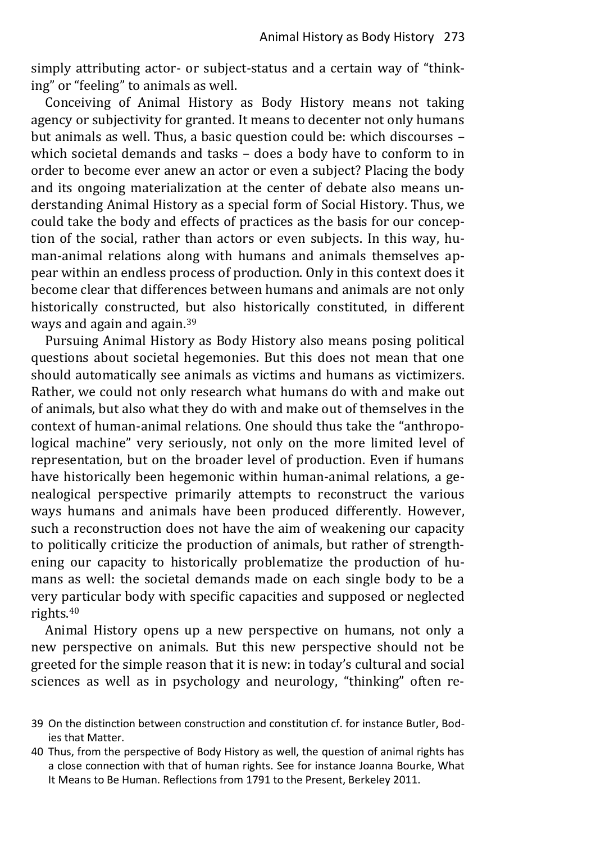simply attributing actor- or subject-status and a certain way of "thinking" or "feeling" to animals as well.

Conceiving of Animal History as Body History means not taking agency or subjectivity for granted. It means to decenter not only humans but animals as well. Thus, a basic question could be: which discourses – which societal demands and tasks – does a body have to conform to in order to become ever anew an actor or even a subject? Placing the body and its ongoing materialization at the center of debate also means understanding Animal History as a special form of Social History. Thus, we could take the body and effects of practices as the basis for our conception of the social, rather than actors or even subjects. In this way, human-animal relations along with humans and animals themselves appear within an endless process of production. Only in this context does it become clear that differences between humans and animals are not only historically constructed, but also historically constituted, in different ways and again and again.<sup>39</sup>

Pursuing Animal History as Body History also means posing political questions about societal hegemonies. But this does not mean that one should automatically see animals as victims and humans as victimizers. Rather, we could not only research what humans do with and make out of animals, but also what they do with and make out of themselves in the context of human-animal relations. One should thus take the "anthropological machine" very seriously, not only on the more limited level of representation, but on the broader level of production. Even if humans have historically been hegemonic within human-animal relations, a genealogical perspective primarily attempts to reconstruct the various ways humans and animals have been produced differently. However, such a reconstruction does not have the aim of weakening our capacity to politically criticize the production of animals, but rather of strengthening our capacity to historically problematize the production of humans as well: the societal demands made on each single body to be a very particular body with specific capacities and supposed or neglected rights.<sup>40</sup>

Animal History opens up a new perspective on humans, not only a new perspective on animals. But this new perspective should not be greeted for the simple reason that it is new: in today's cultural and social sciences as well as in psychology and neurology, "thinking" often re-

- 39 On the distinction between construction and constitution cf. for instance Butler, Bodies that Matter.
- 40 Thus, from the perspective of Body History as well, the question of animal rights has a close connection with that of human rights. See for instance Joanna Bourke, What It Means to Be Human. Reflections from 1791 to the Present, Berkeley 2011.